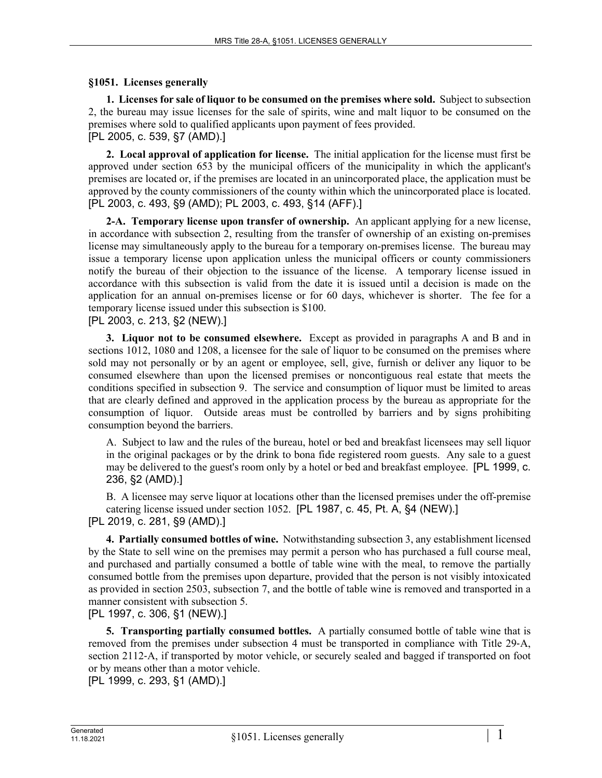## **§1051. Licenses generally**

**1. Licenses for sale of liquor to be consumed on the premises where sold.** Subject to subsection 2, the bureau may issue licenses for the sale of spirits, wine and malt liquor to be consumed on the premises where sold to qualified applicants upon payment of fees provided.

[PL 2005, c. 539, §7 (AMD).]

**2. Local approval of application for license.** The initial application for the license must first be approved under section 653 by the municipal officers of the municipality in which the applicant's premises are located or, if the premises are located in an unincorporated place, the application must be approved by the county commissioners of the county within which the unincorporated place is located. [PL 2003, c. 493, §9 (AMD); PL 2003, c. 493, §14 (AFF).]

**2-A. Temporary license upon transfer of ownership.** An applicant applying for a new license, in accordance with subsection 2, resulting from the transfer of ownership of an existing on-premises license may simultaneously apply to the bureau for a temporary on-premises license. The bureau may issue a temporary license upon application unless the municipal officers or county commissioners notify the bureau of their objection to the issuance of the license. A temporary license issued in accordance with this subsection is valid from the date it is issued until a decision is made on the application for an annual on-premises license or for 60 days, whichever is shorter. The fee for a temporary license issued under this subsection is \$100.

[PL 2003, c. 213, §2 (NEW).]

**3. Liquor not to be consumed elsewhere.** Except as provided in paragraphs A and B and in sections 1012, 1080 and 1208, a licensee for the sale of liquor to be consumed on the premises where sold may not personally or by an agent or employee, sell, give, furnish or deliver any liquor to be consumed elsewhere than upon the licensed premises or noncontiguous real estate that meets the conditions specified in subsection 9. The service and consumption of liquor must be limited to areas that are clearly defined and approved in the application process by the bureau as appropriate for the consumption of liquor. Outside areas must be controlled by barriers and by signs prohibiting consumption beyond the barriers.

A. Subject to law and the rules of the bureau, hotel or bed and breakfast licensees may sell liquor in the original packages or by the drink to bona fide registered room guests. Any sale to a guest may be delivered to the guest's room only by a hotel or bed and breakfast employee. [PL 1999, c. 236, §2 (AMD).]

B. A licensee may serve liquor at locations other than the licensed premises under the off-premise catering license issued under section 1052. [PL 1987, c. 45, Pt. A, §4 (NEW).] [PL 2019, c. 281, §9 (AMD).]

**4. Partially consumed bottles of wine.** Notwithstanding subsection 3, any establishment licensed by the State to sell wine on the premises may permit a person who has purchased a full course meal, and purchased and partially consumed a bottle of table wine with the meal, to remove the partially consumed bottle from the premises upon departure, provided that the person is not visibly intoxicated as provided in section 2503, subsection 7, and the bottle of table wine is removed and transported in a manner consistent with subsection 5.

[PL 1997, c. 306, §1 (NEW).]

**5. Transporting partially consumed bottles.** A partially consumed bottle of table wine that is removed from the premises under subsection 4 must be transported in compliance with Title 29-A, section 2112‑A, if transported by motor vehicle, or securely sealed and bagged if transported on foot or by means other than a motor vehicle.

[PL 1999, c. 293, §1 (AMD).]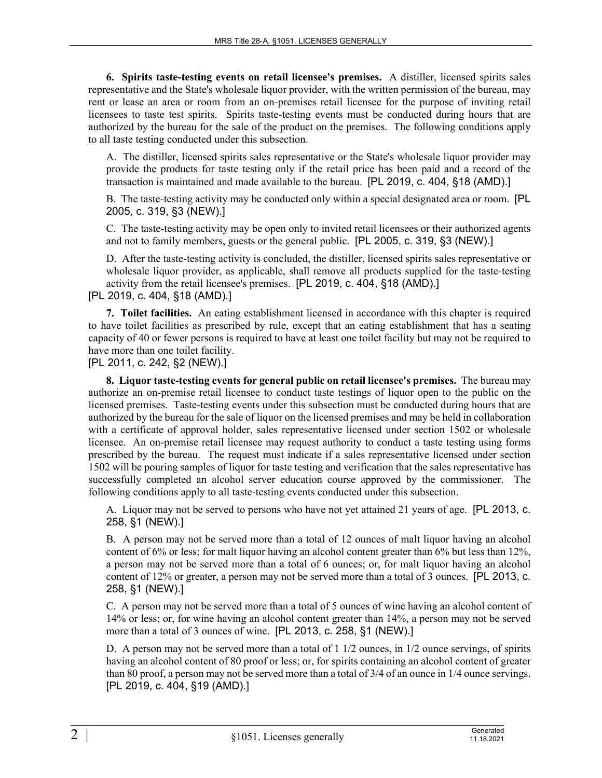**6. Spirits taste-testing events on retail licensee's premises.** A distiller, licensed spirits sales representative and the State's wholesale liquor provider, with the written permission of the bureau, may rent or lease an area or room from an on-premises retail licensee for the purpose of inviting retail licensees to taste test spirits. Spirits taste-testing events must be conducted during hours that are authorized by the bureau for the sale of the product on the premises. The following conditions apply to all taste testing conducted under this subsection.

A. The distiller, licensed spirits sales representative or the State's wholesale liquor provider may provide the products for taste testing only if the retail price has been paid and a record of the transaction is maintained and made available to the bureau. [PL 2019, c. 404, §18 (AMD).]

B. The taste-testing activity may be conducted only within a special designated area or room. [PL 2005, c. 319, §3 (NEW).]

C. The taste-testing activity may be open only to invited retail licensees or their authorized agents and not to family members, guests or the general public. [PL 2005, c. 319, §3 (NEW).]

D. After the taste-testing activity is concluded, the distiller, licensed spirits sales representative or wholesale liquor provider, as applicable, shall remove all products supplied for the taste-testing activity from the retail licensee's premises. [PL 2019, c. 404, §18 (AMD).]

[PL 2019, c. 404, §18 (AMD).]

**7. Toilet facilities.** An eating establishment licensed in accordance with this chapter is required to have toilet facilities as prescribed by rule, except that an eating establishment that has a seating capacity of 40 or fewer persons is required to have at least one toilet facility but may not be required to have more than one toilet facility.

[PL 2011, c. 242, §2 (NEW).]

**8. Liquor taste-testing events for general public on retail licensee's premises.** The bureau may authorize an on-premise retail licensee to conduct taste testings of liquor open to the public on the licensed premises. Taste-testing events under this subsection must be conducted during hours that are authorized by the bureau for the sale of liquor on the licensed premises and may be held in collaboration with a certificate of approval holder, sales representative licensed under section 1502 or wholesale licensee. An on-premise retail licensee may request authority to conduct a taste testing using forms prescribed by the bureau. The request must indicate if a sales representative licensed under section 1502 will be pouring samples of liquor for taste testing and verification that the sales representative has successfully completed an alcohol server education course approved by the commissioner. The following conditions apply to all taste-testing events conducted under this subsection.

A. Liquor may not be served to persons who have not yet attained 21 years of age. [PL 2013, c. 258, §1 (NEW).]

B. A person may not be served more than a total of 12 ounces of malt liquor having an alcohol content of 6% or less; for malt liquor having an alcohol content greater than 6% but less than 12%, a person may not be served more than a total of 6 ounces; or, for malt liquor having an alcohol content of 12% or greater, a person may not be served more than a total of 3 ounces. [PL 2013, c. 258, §1 (NEW).]

C. A person may not be served more than a total of 5 ounces of wine having an alcohol content of 14% or less; or, for wine having an alcohol content greater than 14%, a person may not be served more than a total of 3 ounces of wine. [PL 2013, c. 258, §1 (NEW).]

D. A person may not be served more than a total of 1 1/2 ounces, in 1/2 ounce servings, of spirits having an alcohol content of 80 proof or less; or, for spirits containing an alcohol content of greater than 80 proof, a person may not be served more than a total of 3/4 of an ounce in 1/4 ounce servings. [PL 2019, c. 404, §19 (AMD).]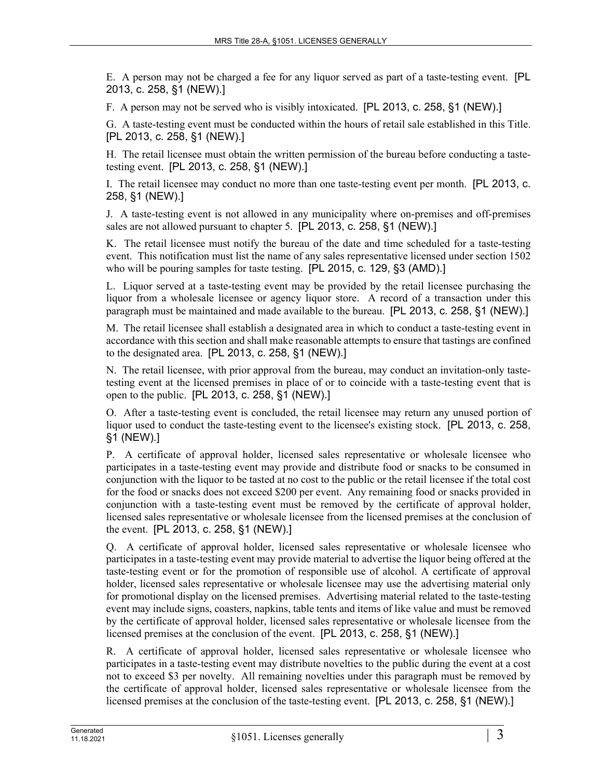E. A person may not be charged a fee for any liquor served as part of a taste-testing event. [PL 2013, c. 258, §1 (NEW).]

F. A person may not be served who is visibly intoxicated. [PL 2013, c. 258, §1 (NEW).]

G. A taste-testing event must be conducted within the hours of retail sale established in this Title. [PL 2013, c. 258, §1 (NEW).]

H. The retail licensee must obtain the written permission of the bureau before conducting a tastetesting event. [PL 2013, c. 258, §1 (NEW).]

I. The retail licensee may conduct no more than one taste-testing event per month. [PL 2013, c. 258, §1 (NEW).]

J. A taste-testing event is not allowed in any municipality where on-premises and off-premises sales are not allowed pursuant to chapter 5. [PL 2013, c. 258, §1 (NEW).]

K. The retail licensee must notify the bureau of the date and time scheduled for a taste-testing event. This notification must list the name of any sales representative licensed under section 1502 who will be pouring samples for taste testing. [PL 2015, c. 129, §3 (AMD).]

L. Liquor served at a taste-testing event may be provided by the retail licensee purchasing the liquor from a wholesale licensee or agency liquor store. A record of a transaction under this paragraph must be maintained and made available to the bureau. [PL 2013, c. 258, §1 (NEW).]

M. The retail licensee shall establish a designated area in which to conduct a taste-testing event in accordance with this section and shall make reasonable attempts to ensure that tastings are confined to the designated area. [PL 2013, c. 258, §1 (NEW).]

N. The retail licensee, with prior approval from the bureau, may conduct an invitation-only tastetesting event at the licensed premises in place of or to coincide with a taste-testing event that is open to the public. [PL 2013, c. 258, §1 (NEW).]

O. After a taste-testing event is concluded, the retail licensee may return any unused portion of liquor used to conduct the taste-testing event to the licensee's existing stock. [PL 2013, c. 258, §1 (NEW).]

P. A certificate of approval holder, licensed sales representative or wholesale licensee who participates in a taste-testing event may provide and distribute food or snacks to be consumed in conjunction with the liquor to be tasted at no cost to the public or the retail licensee if the total cost for the food or snacks does not exceed \$200 per event. Any remaining food or snacks provided in conjunction with a taste-testing event must be removed by the certificate of approval holder, licensed sales representative or wholesale licensee from the licensed premises at the conclusion of the event. [PL 2013, c. 258, §1 (NEW).]

Q. A certificate of approval holder, licensed sales representative or wholesale licensee who participates in a taste-testing event may provide material to advertise the liquor being offered at the taste-testing event or for the promotion of responsible use of alcohol. A certificate of approval holder, licensed sales representative or wholesale licensee may use the advertising material only for promotional display on the licensed premises. Advertising material related to the taste-testing event may include signs, coasters, napkins, table tents and items of like value and must be removed by the certificate of approval holder, licensed sales representative or wholesale licensee from the licensed premises at the conclusion of the event. [PL 2013, c. 258, §1 (NEW).]

R. A certificate of approval holder, licensed sales representative or wholesale licensee who participates in a taste-testing event may distribute novelties to the public during the event at a cost not to exceed \$3 per novelty. All remaining novelties under this paragraph must be removed by the certificate of approval holder, licensed sales representative or wholesale licensee from the licensed premises at the conclusion of the taste-testing event. [PL 2013, c. 258, §1 (NEW).]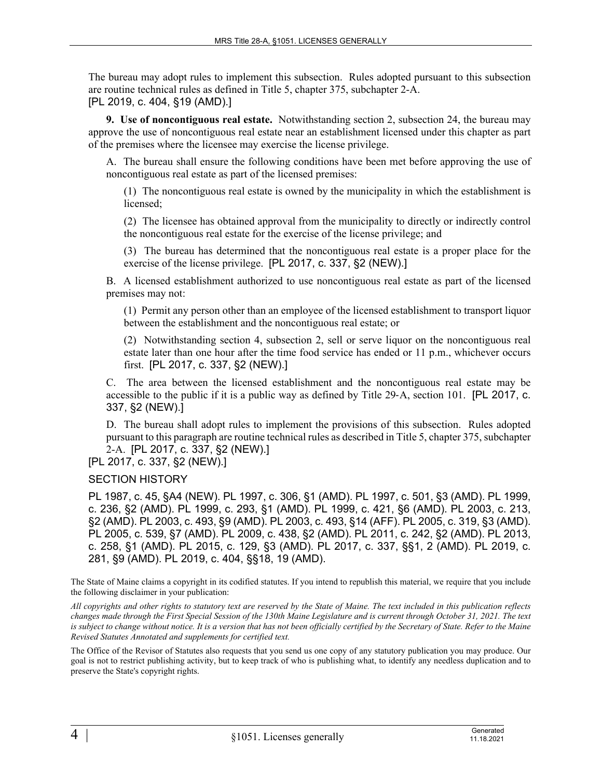The bureau may adopt rules to implement this subsection. Rules adopted pursuant to this subsection are routine technical rules as defined in Title 5, chapter 375, subchapter 2-A. [PL 2019, c. 404, §19 (AMD).]

**9. Use of noncontiguous real estate.** Notwithstanding section 2, subsection 24, the bureau may approve the use of noncontiguous real estate near an establishment licensed under this chapter as part of the premises where the licensee may exercise the license privilege.

A. The bureau shall ensure the following conditions have been met before approving the use of noncontiguous real estate as part of the licensed premises:

(1) The noncontiguous real estate is owned by the municipality in which the establishment is licensed;

(2) The licensee has obtained approval from the municipality to directly or indirectly control the noncontiguous real estate for the exercise of the license privilege; and

(3) The bureau has determined that the noncontiguous real estate is a proper place for the exercise of the license privilege. [PL 2017, c. 337, §2 (NEW).]

B. A licensed establishment authorized to use noncontiguous real estate as part of the licensed premises may not:

(1) Permit any person other than an employee of the licensed establishment to transport liquor between the establishment and the noncontiguous real estate; or

(2) Notwithstanding section 4, subsection 2, sell or serve liquor on the noncontiguous real estate later than one hour after the time food service has ended or 11 p.m., whichever occurs first. [PL 2017, c. 337, §2 (NEW).]

C. The area between the licensed establishment and the noncontiguous real estate may be accessible to the public if it is a public way as defined by Title 29-A, section 101. [PL 2017, c. 337, §2 (NEW).]

D. The bureau shall adopt rules to implement the provisions of this subsection. Rules adopted pursuant to this paragraph are routine technical rules as described in Title 5, chapter 375, subchapter 2-A. [PL 2017, c. 337, §2 (NEW).]

[PL 2017, c. 337, §2 (NEW).]

SECTION HISTORY

PL 1987, c. 45, §A4 (NEW). PL 1997, c. 306, §1 (AMD). PL 1997, c. 501, §3 (AMD). PL 1999, c. 236, §2 (AMD). PL 1999, c. 293, §1 (AMD). PL 1999, c. 421, §6 (AMD). PL 2003, c. 213, §2 (AMD). PL 2003, c. 493, §9 (AMD). PL 2003, c. 493, §14 (AFF). PL 2005, c. 319, §3 (AMD). PL 2005, c. 539, §7 (AMD). PL 2009, c. 438, §2 (AMD). PL 2011, c. 242, §2 (AMD). PL 2013, c. 258, §1 (AMD). PL 2015, c. 129, §3 (AMD). PL 2017, c. 337, §§1, 2 (AMD). PL 2019, c. 281, §9 (AMD). PL 2019, c. 404, §§18, 19 (AMD).

The State of Maine claims a copyright in its codified statutes. If you intend to republish this material, we require that you include the following disclaimer in your publication:

*All copyrights and other rights to statutory text are reserved by the State of Maine. The text included in this publication reflects changes made through the First Special Session of the 130th Maine Legislature and is current through October 31, 2021. The text*  is subject to change without notice. It is a version that has not been officially certified by the Secretary of State. Refer to the Maine *Revised Statutes Annotated and supplements for certified text.*

The Office of the Revisor of Statutes also requests that you send us one copy of any statutory publication you may produce. Our goal is not to restrict publishing activity, but to keep track of who is publishing what, to identify any needless duplication and to preserve the State's copyright rights.